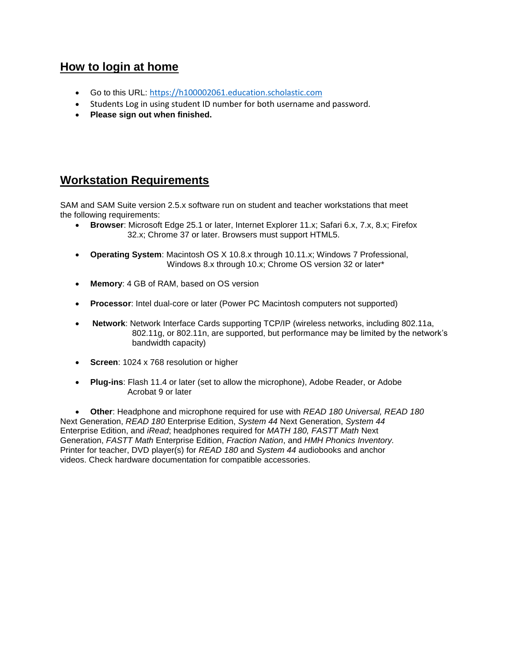## **How to login at home**

- Go to this URL: [https://h100002061.education.scholastic.com](https://h100002061.education.scholastic.com/)
- Students Log in using student ID number for both username and password.
- **Please sign out when finished.**

# **Workstation Requirements**

SAM and SAM Suite version 2.5.x software run on student and teacher workstations that meet the following requirements:

- **Browser**: Microsoft Edge 25.1 or later, Internet Explorer 11.x; Safari 6.x, 7.x, 8.x; Firefox 32.x; Chrome 37 or later. Browsers must support HTML5.
- **Operating System**: Macintosh OS X 10.8.x through 10.11.x; Windows 7 Professional, Windows 8.x through 10.x; Chrome OS version 32 or later\*
- **Memory**: 4 GB of RAM, based on OS version
- **Processor**: Intel dual-core or later (Power PC Macintosh computers not supported)
- **Network**: Network Interface Cards supporting TCP/IP (wireless networks, including 802.11a, 802.11g, or 802.11n, are supported, but performance may be limited by the network's bandwidth capacity)
- **Screen**: 1024 x 768 resolution or higher
- **Plug-ins**: Flash 11.4 or later (set to allow the microphone), Adobe Reader, or Adobe Acrobat 9 or later

 **Other**: Headphone and microphone required for use with *READ 180 Universal, READ 180* Next Generation, *READ 180* Enterprise Edition, *System 44* Next Generation, *System 44* Enterprise Edition, and *iRead*; headphones required for *MATH 180, FASTT Math* Next Generation, *FASTT Math* Enterprise Edition, *Fraction Nation*, and *HMH Phonics Inventory.* Printer for teacher, DVD player(s) for *READ 180* and *System 44* audiobooks and anchor videos. Check hardware documentation for compatible accessories.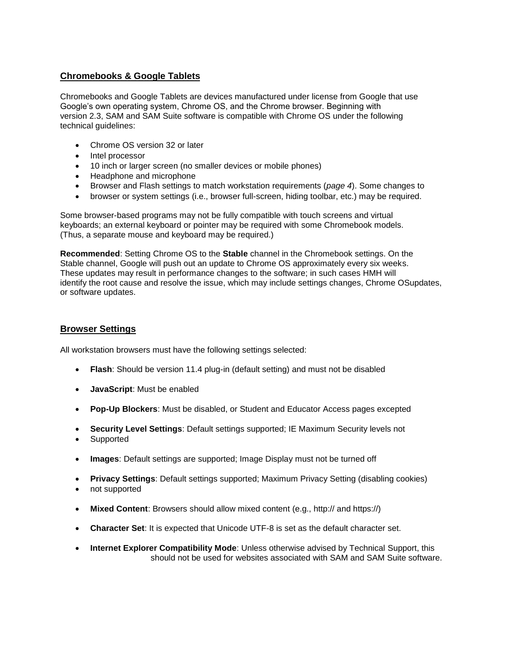## **Chromebooks & Google Tablets**

Chromebooks and Google Tablets are devices manufactured under license from Google that use Google's own operating system, Chrome OS, and the Chrome browser. Beginning with version 2.3, SAM and SAM Suite software is compatible with Chrome OS under the following technical guidelines:

- Chrome OS version 32 or later
- Intel processor
- 10 inch or larger screen (no smaller devices or mobile phones)
- Headphone and microphone
- Browser and Flash settings to match workstation requirements (*page 4*). Some changes to
- browser or system settings (i.e., browser full-screen, hiding toolbar, etc.) may be required.

Some browser-based programs may not be fully compatible with touch screens and virtual keyboards; an external keyboard or pointer may be required with some Chromebook models. (Thus, a separate mouse and keyboard may be required.)

**Recommended**: Setting Chrome OS to the **Stable** channel in the Chromebook settings. On the Stable channel, Google will push out an update to Chrome OS approximately every six weeks. These updates may result in performance changes to the software; in such cases HMH will identify the root cause and resolve the issue, which may include settings changes, Chrome OSupdates, or software updates.

### **Browser Settings**

All workstation browsers must have the following settings selected:

- **Flash**: Should be version 11.4 plug-in (default setting) and must not be disabled
- **JavaScript**: Must be enabled
- **Pop-Up Blockers**: Must be disabled, or Student and Educator Access pages excepted
- **Security Level Settings**: Default settings supported; IE Maximum Security levels not
- Supported
- **Images**: Default settings are supported; Image Display must not be turned off
- **Privacy Settings**: Default settings supported; Maximum Privacy Setting (disabling cookies)
- not supported
- **Mixed Content**: Browsers should allow mixed content (e.g., http:// and https://)
- **Character Set**: It is expected that Unicode UTF-8 is set as the default character set.
- **Internet Explorer Compatibility Mode**: Unless otherwise advised by Technical Support, this should not be used for websites associated with SAM and SAM Suite software.